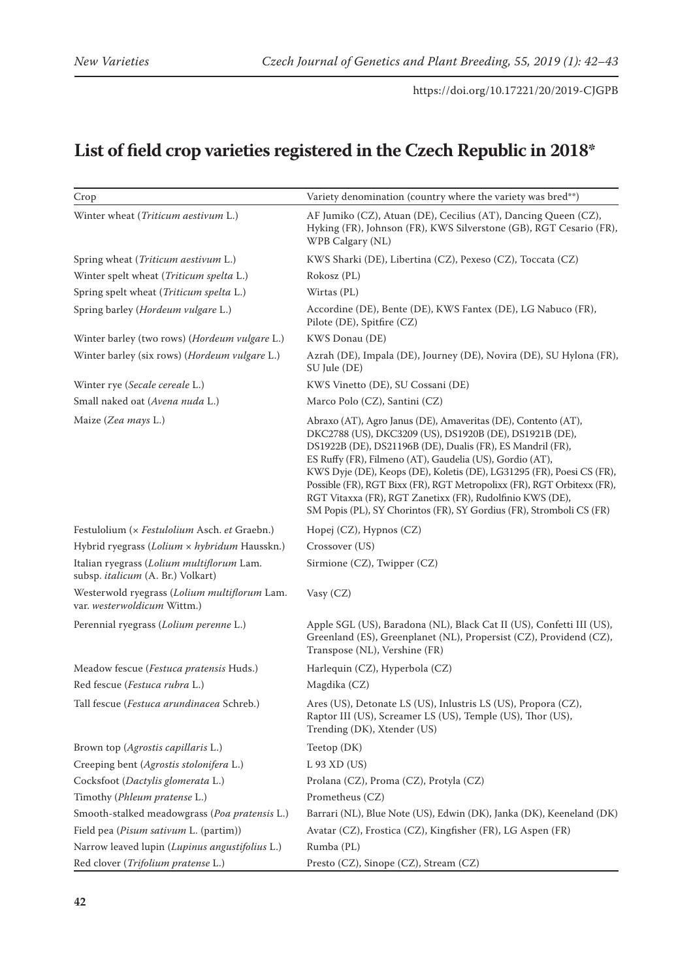## **List of field crop varieties registered in the Czech Republic in 2018\***

| Crop                                                                           | Variety denomination (country where the variety was bred**)                                                                                                                                                                                                                                                                                                                                                                                                                                                                                |
|--------------------------------------------------------------------------------|--------------------------------------------------------------------------------------------------------------------------------------------------------------------------------------------------------------------------------------------------------------------------------------------------------------------------------------------------------------------------------------------------------------------------------------------------------------------------------------------------------------------------------------------|
| Winter wheat (Triticum aestivum L.)                                            | AF Jumiko (CZ), Atuan (DE), Cecilius (AT), Dancing Queen (CZ),<br>Hyking (FR), Johnson (FR), KWS Silverstone (GB), RGT Cesario (FR),<br>WPB Calgary (NL)                                                                                                                                                                                                                                                                                                                                                                                   |
| Spring wheat (Triticum aestivum L.)                                            | KWS Sharki (DE), Libertina (CZ), Pexeso (CZ), Toccata (CZ)                                                                                                                                                                                                                                                                                                                                                                                                                                                                                 |
| Winter spelt wheat (Triticum spelta L.)                                        | Rokosz (PL)                                                                                                                                                                                                                                                                                                                                                                                                                                                                                                                                |
| Spring spelt wheat (Triticum spelta L.)                                        | Wirtas (PL)                                                                                                                                                                                                                                                                                                                                                                                                                                                                                                                                |
| Spring barley (Hordeum vulgare L.)                                             | Accordine (DE), Bente (DE), KWS Fantex (DE), LG Nabuco (FR),<br>Pilote (DE), Spitfire (CZ)                                                                                                                                                                                                                                                                                                                                                                                                                                                 |
| Winter barley (two rows) (Hordeum vulgare L.)                                  | KWS Donau (DE)                                                                                                                                                                                                                                                                                                                                                                                                                                                                                                                             |
| Winter barley (six rows) (Hordeum vulgare L.)                                  | Azrah (DE), Impala (DE), Journey (DE), Novira (DE), SU Hylona (FR),<br>SU Jule (DE)                                                                                                                                                                                                                                                                                                                                                                                                                                                        |
| Winter rye (Secale cereale L.)                                                 | KWS Vinetto (DE), SU Cossani (DE)                                                                                                                                                                                                                                                                                                                                                                                                                                                                                                          |
| Small naked oat (Avena nuda L.)                                                | Marco Polo (CZ), Santini (CZ)                                                                                                                                                                                                                                                                                                                                                                                                                                                                                                              |
| Maize (Zea mays L.)                                                            | Abraxo (AT), Agro Janus (DE), Amaveritas (DE), Contento (AT),<br>DKC2788 (US), DKC3209 (US), DS1920B (DE), DS1921B (DE),<br>DS1922B (DE), DS21196B (DE), Dualis (FR), ES Mandril (FR),<br>ES Ruffy (FR), Filmeno (AT), Gaudelia (US), Gordio (AT),<br>KWS Dyje (DE), Keops (DE), Koletis (DE), LG31295 (FR), Poesi CS (FR),<br>Possible (FR), RGT Bixx (FR), RGT Metropolixx (FR), RGT Orbitexx (FR),<br>RGT Vitaxxa (FR), RGT Zanetixx (FR), Rudolfinio KWS (DE),<br>SM Popis (PL), SY Chorintos (FR), SY Gordius (FR), Stromboli CS (FR) |
| Festulolium (x Festulolium Asch. et Graebn.)                                   | Hopej (CZ), Hypnos (CZ)                                                                                                                                                                                                                                                                                                                                                                                                                                                                                                                    |
| Hybrid ryegrass (Lolium x hybridum Hausskn.)                                   | Crossover (US)                                                                                                                                                                                                                                                                                                                                                                                                                                                                                                                             |
| Italian ryegrass (Lolium multiflorum Lam.<br>subsp. italicum (A. Br.) Volkart) | Sirmione (CZ), Twipper (CZ)                                                                                                                                                                                                                                                                                                                                                                                                                                                                                                                |
| Westerwold ryegrass (Lolium multiflorum Lam.<br>var. westerwoldicum Wittm.)    | Vasy (CZ)                                                                                                                                                                                                                                                                                                                                                                                                                                                                                                                                  |
| Perennial ryegrass (Lolium perenne L.)                                         | Apple SGL (US), Baradona (NL), Black Cat II (US), Confetti III (US),<br>Greenland (ES), Greenplanet (NL), Propersist (CZ), Providend (CZ),<br>Transpose (NL), Vershine (FR)                                                                                                                                                                                                                                                                                                                                                                |
| Meadow fescue (Festuca pratensis Huds.)                                        | Harlequin (CZ), Hyperbola (CZ)                                                                                                                                                                                                                                                                                                                                                                                                                                                                                                             |
| Red fescue (Festuca rubra L.)                                                  | Magdika (CZ)                                                                                                                                                                                                                                                                                                                                                                                                                                                                                                                               |
| Tall fescue (Festuca arundinacea Schreb.)                                      | Ares (US), Detonate LS (US), Inlustris LS (US), Propora (CZ),<br>Raptor III (US), Screamer LS (US), Temple (US), Thor (US),<br>Trending (DK), Xtender (US)                                                                                                                                                                                                                                                                                                                                                                                 |
| Brown top (Agrostis capillaris L.)                                             | Teetop (DK)                                                                                                                                                                                                                                                                                                                                                                                                                                                                                                                                |
| Creeping bent (Agrostis stolonifera L.)                                        | $L$ 93 XD (US)                                                                                                                                                                                                                                                                                                                                                                                                                                                                                                                             |
| Cocksfoot (Dactylis glomerata L.)                                              | Prolana (CZ), Proma (CZ), Protyla (CZ)                                                                                                                                                                                                                                                                                                                                                                                                                                                                                                     |
| Timothy (Phleum pratense L.)                                                   | Prometheus (CZ)                                                                                                                                                                                                                                                                                                                                                                                                                                                                                                                            |
| Smooth-stalked meadowgrass (Poa pratensis L.)                                  | Barrari (NL), Blue Note (US), Edwin (DK), Janka (DK), Keeneland (DK)                                                                                                                                                                                                                                                                                                                                                                                                                                                                       |
| Field pea (Pisum sativum L. (partim))                                          | Avatar (CZ), Frostica (CZ), Kingfisher (FR), LG Aspen (FR)                                                                                                                                                                                                                                                                                                                                                                                                                                                                                 |
| Narrow leaved lupin (Lupinus angustifolius L.)                                 | Rumba (PL)                                                                                                                                                                                                                                                                                                                                                                                                                                                                                                                                 |
| Red clover (Trifolium pratense L.)                                             | Presto (CZ), Sinope (CZ), Stream (CZ)                                                                                                                                                                                                                                                                                                                                                                                                                                                                                                      |